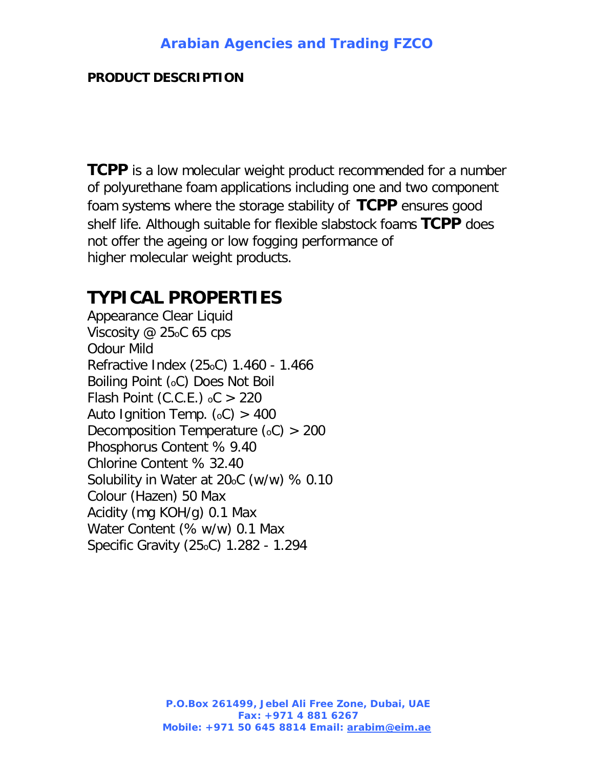## **PRODUCT DESCRIPTION**

**TCPP** is a low molecular weight product recommended for a number of polyurethane foam applications including one and two component foam systems where the storage stability of **TCPP** ensures good shelf life. Although suitable for flexible slabstock foams **TCPP** does not offer the ageing or low fogging performance of higher molecular weight products.

## **TYPICAL PROPERTIES**

Appearance Clear Liquid Viscosity @ 25oC 65 cps Odour Mild Refractive Index (25oC) 1.460 - 1.466 Boiling Point (oC) Does Not Boil Flash Point (C.C.E.)  $_0C > 220$ Auto Ignition Temp.  $(c) > 400$ Decomposition Temperature  $(oC) > 200$ Phosphorus Content % 9.40 Chlorine Content % 32.40 Solubility in Water at 20oC (w/w) % 0.10 Colour (Hazen) 50 Max Acidity (mg KOH/g) 0.1 Max Water Content (% w/w) 0.1 Max Specific Gravity (25oC) 1.282 - 1.294